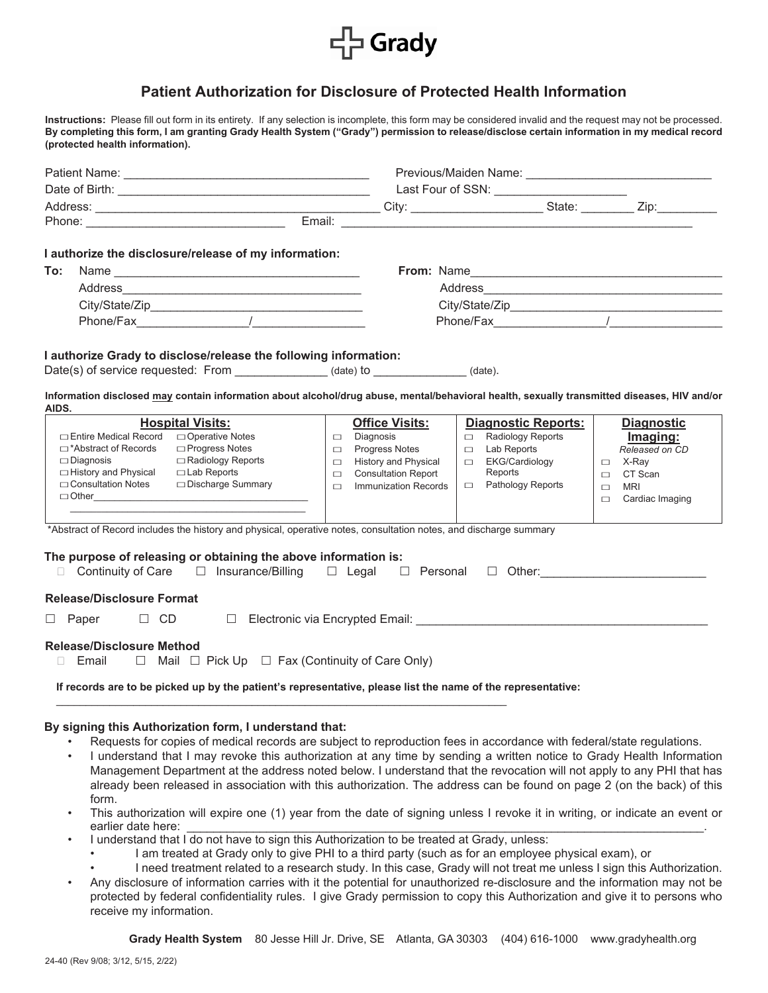

## **Patient Authorization for Disclosure of Protected Health Information**

**Instructions:** Please fill out form in its entirety. If any selection is incomplete, this form may be considered invalid and the request may not be processed. **By completing this form, I am granting Grady Health System ("Grady") permission to release/disclose certain information in my medical record (protected health information).**

|                                                                                                                                                                                 |                                                                                                                                                                                                                               | Last Four of SSN: _______________________ |                           |
|---------------------------------------------------------------------------------------------------------------------------------------------------------------------------------|-------------------------------------------------------------------------------------------------------------------------------------------------------------------------------------------------------------------------------|-------------------------------------------|---------------------------|
|                                                                                                                                                                                 |                                                                                                                                                                                                                               |                                           |                           |
|                                                                                                                                                                                 |                                                                                                                                                                                                                               |                                           |                           |
| I authorize the disclosure/release of my information:                                                                                                                           |                                                                                                                                                                                                                               |                                           |                           |
| To:                                                                                                                                                                             |                                                                                                                                                                                                                               |                                           |                           |
| Address                                                                                                                                                                         |                                                                                                                                                                                                                               |                                           |                           |
|                                                                                                                                                                                 |                                                                                                                                                                                                                               |                                           |                           |
|                                                                                                                                                                                 |                                                                                                                                                                                                                               |                                           |                           |
|                                                                                                                                                                                 |                                                                                                                                                                                                                               |                                           |                           |
| I authorize Grady to disclose/release the following information:                                                                                                                |                                                                                                                                                                                                                               |                                           |                           |
| Date(s) of service requested: From _______________(date) to _____________(date).                                                                                                |                                                                                                                                                                                                                               |                                           |                           |
|                                                                                                                                                                                 |                                                                                                                                                                                                                               |                                           |                           |
| Information disclosed may contain information about alcohol/drug abuse, mental/behavioral health, sexually transmitted diseases, HIV and/or<br>AIDS.                            |                                                                                                                                                                                                                               |                                           |                           |
| <b>Hospital Visits:</b>                                                                                                                                                         | <b>Office Visits:</b>                                                                                                                                                                                                         | <b>Diagnostic Reports:</b>                | <b>Diagnostic</b>         |
| □ Entire Medical Record<br>□ Operative Notes                                                                                                                                    | $\Box$ Diagnosis                                                                                                                                                                                                              | Radiology Reports                         | Imaging:                  |
| $\Box$ Progress Notes<br>□*Abstract of Records                                                                                                                                  | <b>Progress Notes</b><br>$\Box$                                                                                                                                                                                               | $\Box$ Lab Reports                        | Released on CD            |
| □ Radiology Reports<br>$\Box$ Diagnosis                                                                                                                                         | <b>History and Physical</b><br>$\Box$                                                                                                                                                                                         | □ EKG/Cardiology                          | $\Box$ X-Ray              |
| □ History and Physical<br>$\Box$ Lab Reports<br>□ Consultation Notes<br>□ Discharge Summary                                                                                     | <b>Consultation Report</b><br>$\Box$                                                                                                                                                                                          | Reports<br>□ Pathology Reports            | $\Box$ CT Scan            |
| $\Box$ Other                                                                                                                                                                    | Immunization Records<br>$\Box$                                                                                                                                                                                                |                                           | <b>MRI</b><br>$\Box$      |
|                                                                                                                                                                                 |                                                                                                                                                                                                                               |                                           | Cardiac Imaging<br>$\Box$ |
| *Abstract of Record includes the history and physical, operative notes, consultation notes, and discharge summary                                                               |                                                                                                                                                                                                                               |                                           |                           |
|                                                                                                                                                                                 |                                                                                                                                                                                                                               |                                           |                           |
| The purpose of releasing or obtaining the above information is:                                                                                                                 |                                                                                                                                                                                                                               |                                           |                           |
| $\Box$ Continuity of Care $\Box$ Insurance/Billing $\Box$ Legal $\Box$ Personal $\Box$ Other:                                                                                   |                                                                                                                                                                                                                               |                                           |                           |
| <b>Release/Disclosure Format</b>                                                                                                                                                |                                                                                                                                                                                                                               |                                           |                           |
| $\Box$ Paper<br>$\Box$ CD                                                                                                                                                       | □ Electronic via Encrypted Email: Network and American product of the Contractor of the Contractor of the Contractor of the Contractor of the Contractor of the Contractor of the Contractor of the Contractor of the Contrac |                                           |                           |
|                                                                                                                                                                                 |                                                                                                                                                                                                                               |                                           |                           |
| <b>Release/Disclosure Method</b>                                                                                                                                                |                                                                                                                                                                                                                               |                                           |                           |
| $\Box$ Email $\Box$ Mail $\Box$ Pick Up $\Box$ Fax (Continuity of Care Only)                                                                                                    |                                                                                                                                                                                                                               |                                           |                           |
| If records are to be picked up by the patient's representative, please list the name of the representative:                                                                     |                                                                                                                                                                                                                               |                                           |                           |
|                                                                                                                                                                                 |                                                                                                                                                                                                                               |                                           |                           |
|                                                                                                                                                                                 |                                                                                                                                                                                                                               |                                           |                           |
| By signing this Authorization form, I understand that:<br>Requests for copies of medical records are subject to reproduction fees in accordance with federal/state regulations. |                                                                                                                                                                                                                               |                                           |                           |
|                                                                                                                                                                                 |                                                                                                                                                                                                                               |                                           |                           |

- I understand that I may revoke this authorization at any time by sending a written notice to Grady Health Information Management Department at the address noted below. I understand that the revocation will not apply to any PHI that has already been released in association with this authorization. The address can be found on page 2 (on the back) of this form.
- This authorization will expire one (1) year from the date of signing unless I revoke it in writing, or indicate an event or earlier date here:
- I understand that I do not have to sign this Authorization to be treated at Grady, unless:
	- I am treated at Grady only to give PHI to a third party (such as for an employee physical exam), or
	- I need treatment related to a research study. In this case, Grady will not treat me unless I sign this Authorization.
- Any disclosure of information carries with it the potential for unauthorized re-disclosure and the information may not be protected by federal confidentiality rules. I give Grady permission to copy this Authorization and give it to persons who receive my information.